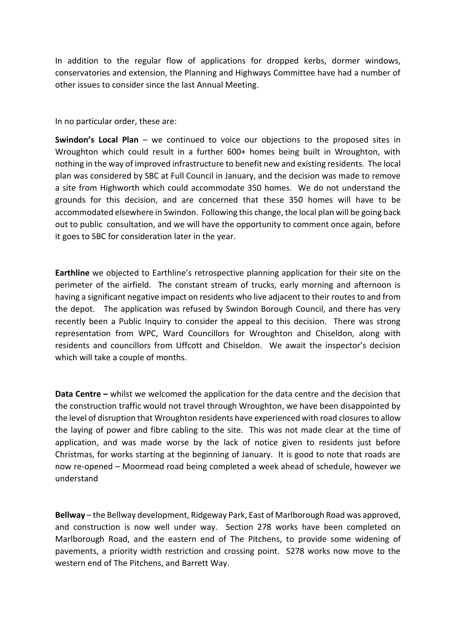In addition to the regular flow of applications for dropped kerbs, dormer windows, conservatories and extension, the Planning and Highways Committee have had a number of other issues to consider since the last Annual Meeting.

In no particular order, these are:

**Swindon's Local Plan** – we continued to voice our objections to the proposed sites in Wroughton which could result in a further 600+ homes being built in Wroughton, with nothing in the way of improved infrastructure to benefit new and existing residents. The local plan was considered by SBC at Full Council in January, and the decision was made to remove a site from Highworth which could accommodate 350 homes. We do not understand the grounds for this decision, and are concerned that these 350 homes will have to be accommodated elsewhere in Swindon. Following this change, the local plan will be going back out to public consultation, and we will have the opportunity to comment once again, before it goes to SBC for consideration later in the year.

**Earthline** we objected to Earthline's retrospective planning application for their site on the perimeter of the airfield. The constant stream of trucks, early morning and afternoon is having a significant negative impact on residents who live adjacent to their routes to and from the depot. The application was refused by Swindon Borough Council, and there has very recently been a Public Inquiry to consider the appeal to this decision. There was strong representation from WPC, Ward Councillors for Wroughton and Chiseldon, along with residents and councillors from Uffcott and Chiseldon. We await the inspector's decision which will take a couple of months.

**Data Centre –** whilst we welcomed the application for the data centre and the decision that the construction traffic would not travel through Wroughton, we have been disappointed by the level of disruption that Wroughton residents have experienced with road closuresto allow the laying of power and fibre cabling to the site. This was not made clear at the time of application, and was made worse by the lack of notice given to residents just before Christmas, for works starting at the beginning of January. It is good to note that roads are now re-opened – Moormead road being completed a week ahead of schedule, however we understand

**Bellway** – the Bellway development, Ridgeway Park, East of Marlborough Road was approved, and construction is now well under way. Section 278 works have been completed on Marlborough Road, and the eastern end of The Pitchens, to provide some widening of pavements, a priority width restriction and crossing point. S278 works now move to the western end of The Pitchens, and Barrett Way.